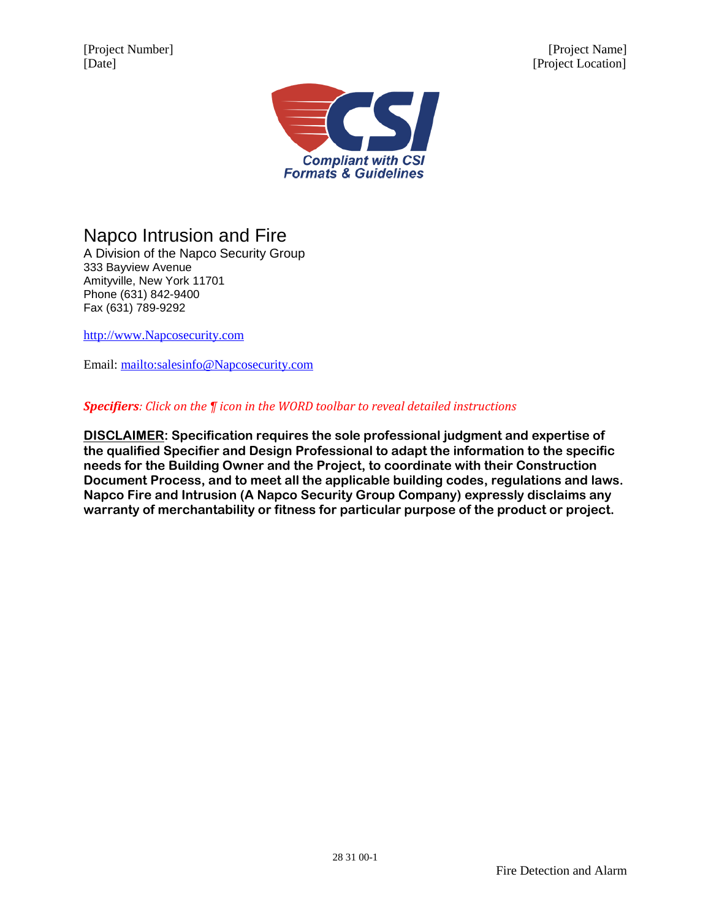[Project Number] [Project Name] [Date] [Project Location]



Napco Intrusion and Fire

A Division of the Napco Security Group 333 Bayview Avenue Amityville, New York 11701 Phone (631) 842-9400 Fax (631) 789-9292

[http://www.Napcosecurity.com](http://www.napcosecurity.com/)

Email: [mailto:salesinfo@Napcosecurity.com](mailto:)

### *Specifiers: Click on the ¶ icon in the WORD toolbar to reveal detailed instructions*

**DISCLAIMER: Specification requires the sole professional judgment and expertise of the qualified Specifier and Design Professional to adapt the information to the specific needs for the Building Owner and the Project, to coordinate with their Construction Document Process, and to meet all the applicable building codes, regulations and laws. Napco Fire and Intrusion (A Napco Security Group Company) expressly disclaims any warranty of merchantability or fitness for particular purpose of the product or project.**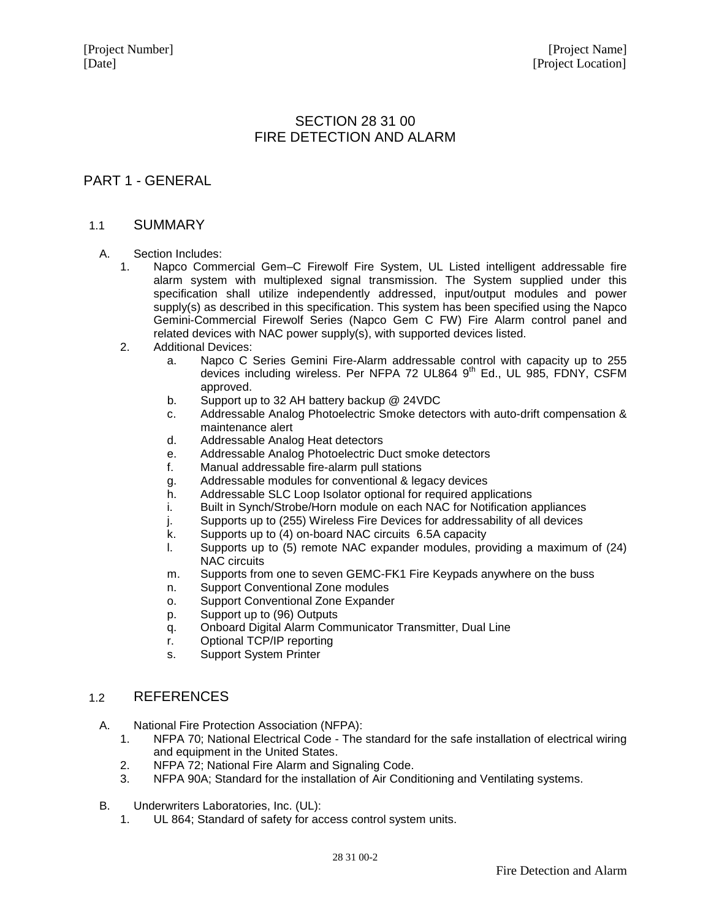# SECTION 28 31 00 FIRE DETECTION AND ALARM

# PART 1 - GENERAL

#### 1.1 SUMMARY

#### A. Section Includes:

- 1. Napco Commercial Gem–C Firewolf Fire System, UL Listed intelligent addressable fire alarm system with multiplexed signal transmission. The System supplied under this specification shall utilize independently addressed, input/output modules and power supply(s) as described in this specification. This system has been specified using the Napco Gemini-Commercial Firewolf Series (Napco Gem C FW) Fire Alarm control panel and related devices with NAC power supply(s), with supported devices listed.
- 2. Additional Devices:
	- a. Napco C Series Gemini Fire-Alarm addressable control with capacity up to 255 devices including wireless. Per NFPA 72 UL864 9<sup>th</sup> Ed., UL 985, FDNY, CSFM approved.
	- b. Support up to 32 AH battery backup @ 24VDC
	- c. Addressable Analog Photoelectric Smoke detectors with auto-drift compensation & maintenance alert
	- d. Addressable Analog Heat detectors
	- e. Addressable Analog Photoelectric Duct smoke detectors
	- f. Manual addressable fire-alarm pull stations
	- g. Addressable modules for conventional & legacy devices
	- h. Addressable SLC Loop Isolator optional for required applications
	- i. Built in Synch/Strobe/Horn module on each NAC for Notification appliances
	- j. Supports up to (255) Wireless Fire Devices for addressability of all devices
	- k. Supports up to (4) on-board NAC circuits 6.5A capacity
	- l. Supports up to (5) remote NAC expander modules, providing a maximum of (24) NAC circuits
	- m. Supports from one to seven GEMC-FK1 Fire Keypads anywhere on the buss
	- n. Support Conventional Zone modules
	- o. Support Conventional Zone Expander
	- p. Support up to (96) Outputs
	- q. Onboard Digital Alarm Communicator Transmitter, Dual Line
	- r. Optional TCP/IP reporting
	- s. Support System Printer

## 1.2 REFERENCES

- A. National Fire Protection Association (NFPA):
	- 1. NFPA 70; National Electrical Code The standard for the safe installation of electrical wiring and equipment in the United States.
	- 2. NFPA 72; National Fire Alarm and Signaling Code.
	- 3. NFPA 90A; Standard for the installation of Air Conditioning and Ventilating systems.
- B. Underwriters Laboratories, Inc. (UL):
	- 1. UL 864; Standard of safety for access control system units.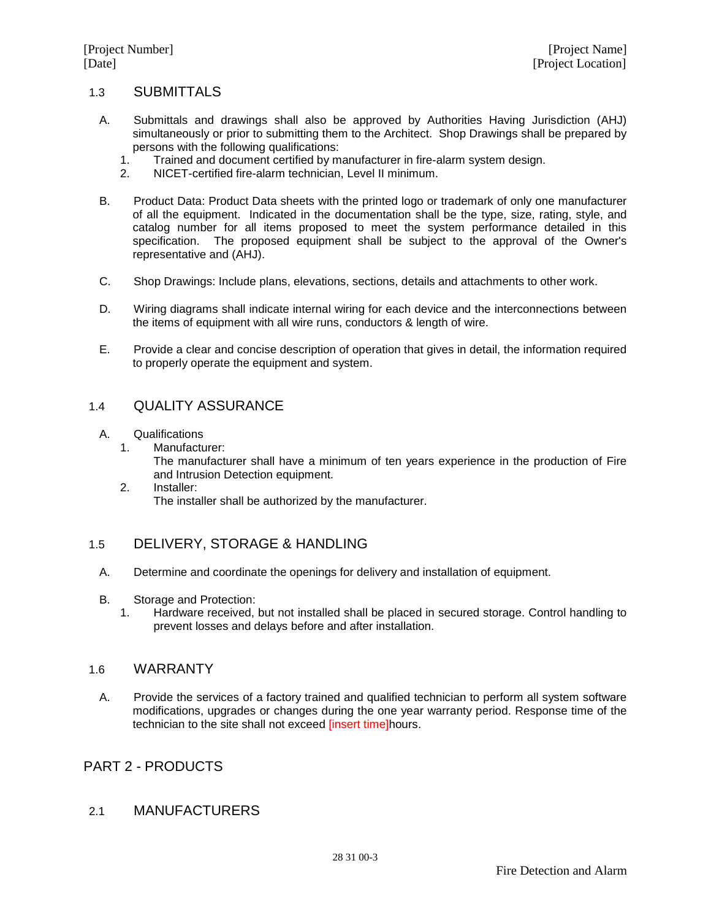### 1.3 SUBMITTALS

- A. Submittals and drawings shall also be approved by Authorities Having Jurisdiction (AHJ) simultaneously or prior to submitting them to the Architect. Shop Drawings shall be prepared by persons with the following qualifications:<br>1. Trained and document certified by m
	- 1. Trained and document certified by manufacturer in fire-alarm system design.
	- 2. NICET-certified fire-alarm technician, Level II minimum.
- B. Product Data: Product Data sheets with the printed logo or trademark of only one manufacturer of all the equipment. Indicated in the documentation shall be the type, size, rating, style, and catalog number for all items proposed to meet the system performance detailed in this specification. The proposed equipment shall be subject to the approval of the Owner's representative and (AHJ).
- C. Shop Drawings: Include plans, elevations, sections, details and attachments to other work.
- D. Wiring diagrams shall indicate internal wiring for each device and the interconnections between the items of equipment with all wire runs, conductors & length of wire.
- E. Provide a clear and concise description of operation that gives in detail, the information required to properly operate the equipment and system.

## 1.4 QUALITY ASSURANCE

- A. Qualifications<br>1. Manufactu
	- Manufacturer:

The manufacturer shall have a minimum of ten years experience in the production of Fire and Intrusion Detection equipment.

2. Installer: The installer shall be authorized by the manufacturer.

## 1.5 DELIVERY, STORAGE & HANDLING

- A. Determine and coordinate the openings for delivery and installation of equipment.
- B. Storage and Protection:
	- 1. Hardware received, but not installed shall be placed in secured storage. Control handling to prevent losses and delays before and after installation.

### 1.6 WARRANTY

A. Provide the services of a factory trained and qualified technician to perform all system software modifications, upgrades or changes during the one year warranty period. Response time of the technician to the site shall not exceed linsert timelhours.

# PART 2 - PRODUCTS

#### 2.1 MANUFACTURERS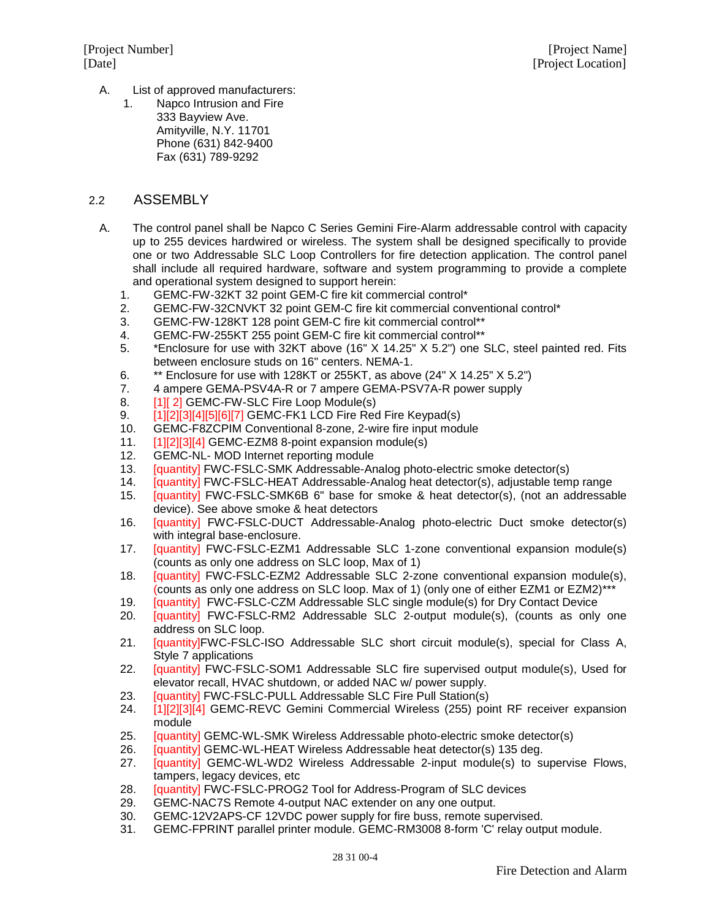- A. List of approved manufacturers:
	- 1. Napco Intrusion and Fire 333 Bayview Ave. Amityville, N.Y. 11701 Phone (631) 842-9400 Fax (631) 789-9292

### 2.2 ASSEMBLY

- A. The control panel shall be Napco C Series Gemini Fire-Alarm addressable control with capacity up to 255 devices hardwired or wireless. The system shall be designed specifically to provide one or two Addressable SLC Loop Controllers for fire detection application. The control panel shall include all required hardware, software and system programming to provide a complete and operational system designed to support herein:
	- 1. GEMC-FW-32KT 32 point GEM-C fire kit commercial control\*
	- 2. GEMC-FW-32CNVKT 32 point GEM-C fire kit commercial conventional control\*
	- 3. GEMC-FW-128KT 128 point GEM-C fire kit commercial control\*\*
	- 4. GEMC-FW-255KT 255 point GEM-C fire kit commercial control\*\*
	- 5. \*Enclosure for use with 32KT above (16" X 14.25" X 5.2") one SLC, steel painted red. Fits between enclosure studs on 16" centers. NEMA-1.
	- 6. \*\* Enclosure for use with 128KT or 255KT, as above (24" X 14.25" X 5.2")
	- 7. 4 ampere GEMA-PSV4A-R or 7 ampere GEMA-PSV7A-R power supply<br>8. [1] 2] GEMC-FW-SLC Fire Loop Module(s)
	- 8. [1][ 2] GEMC-FW-SLC Fire Loop Module(s)<br>9. [1][2][3][4][5][6][7] GEMC-FK1 LCD Fire Rec
	- [1][2][3][4][5][6][7] GEMC-FK1 LCD Fire Red Fire Keypad(s)
	- 10. GEMC-F8ZCPIM Conventional 8-zone, 2-wire fire input module
	- 11. [1][2][3][4] GEMC-EZM8 8-point expansion module(s)<br>12. GEMC-NL- MOD Internet reporting module
	- GEMC-NL- MOD Internet reporting module
	- 13. [quantity] FWC-FSLC-SMK Addressable-Analog photo-electric smoke detector(s)
	- 14. [quantity] FWC-FSLC-HEAT Addressable-Analog heat detector(s), adjustable temp range<br>15. [quantity] FWC-FSLC-SMK6B 6" base for smoke & heat detector(s), (not an addressat
	- [quantity] FWC-FSLC-SMK6B 6" base for smoke & heat detector(s), (not an addressable device). See above smoke & heat detectors
	- 16. [quantity] FWC-FSLC-DUCT Addressable-Analog photo-electric Duct smoke detector(s) with integral base-enclosure.
	- 17. [quantity] FWC-FSLC-EZM1 Addressable SLC 1-zone conventional expansion module(s) (counts as only one address on SLC loop, Max of 1)
	- 18. [quantity] FWC-FSLC-EZM2 Addressable SLC 2-zone conventional expansion module(s), (counts as only one address on SLC loop. Max of 1) (only one of either EZM1 or EZM2)\*\*\*
	- 19. [quantity] FWC-FSLC-CZM Addressable SLC single module(s) for Dry Contact Device
	- 20. [quantity] FWC-FSLC-RM2 Addressable SLC 2-output module(s), (counts as only one address on SLC loop.
	- 21. **[quantity]FWC-FSLC-ISO** Addressable SLC short circuit module(s), special for Class A, Style 7 applications
	- 22. **[quantity] FWC-FSLC-SOM1** Addressable SLC fire supervised output module(s), Used for elevator recall, HVAC shutdown, or added NAC w/ power supply.
	- 23. **[quantity] FWC-FSLC-PULL Addressable SLC Fire Pull Station(s)**
	- 24. [1][2][3][4] GEMC-REVC Gemini Commercial Wireless (255) point RF receiver expansion module
	- 25. **[quantity] GEMC-WL-SMK Wireless Addressable photo-electric smoke detector(s)**
	- 26. [quantity] GEMC-WL-HEAT Wireless Addressable heat detector(s) 135 deg.
	- 27. [quantity] GEMC-WL-WD2 Wireless Addressable 2-input module(s) to supervise Flows, tampers, legacy devices, etc
	- 28. [quantity] FWC-FSLC-PROG2 Tool for Address-Program of SLC devices
	- 29. GEMC-NAC7S Remote 4-output NAC extender on any one output.
	- 30. GEMC-12V2APS-CF 12VDC power supply for fire buss, remote supervised.
	- 31. GEMC-FPRINT parallel printer module. GEMC-RM3008 8-form 'C' relay output module.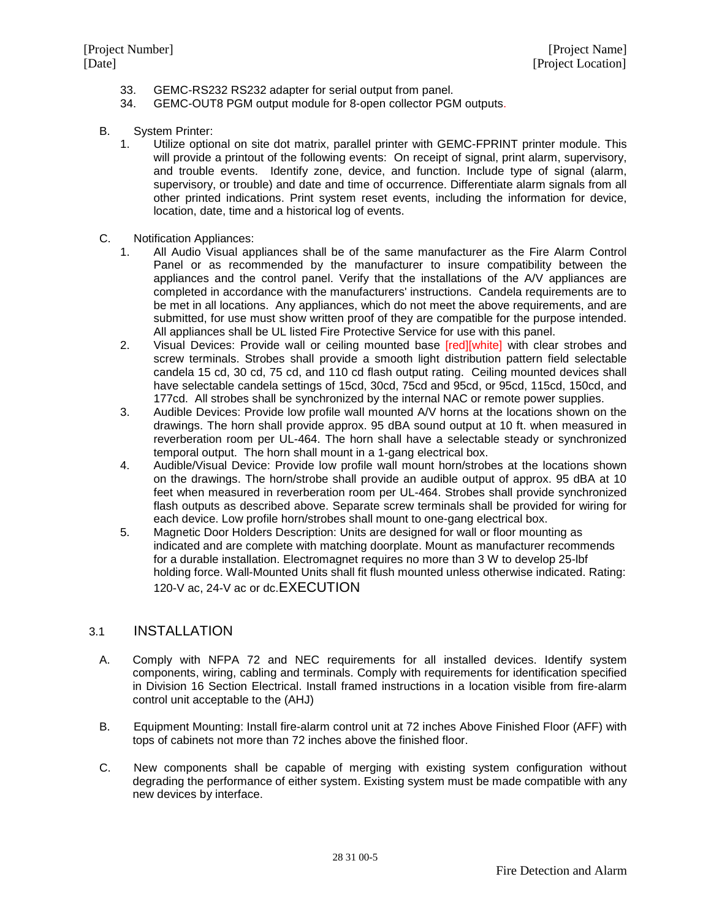- 33. GEMC-RS232 RS232 adapter for serial output from panel.
- 34. GEMC-OUT8 PGM output module for 8-open collector PGM outputs.
- B. System Printer:
	- 1. Utilize optional on site dot matrix, parallel printer with GEMC-FPRINT printer module. This will provide a printout of the following events: On receipt of signal, print alarm, supervisory, and trouble events. Identify zone, device, and function. Include type of signal (alarm, supervisory, or trouble) and date and time of occurrence. Differentiate alarm signals from all other printed indications. Print system reset events, including the information for device, location, date, time and a historical log of events.
- C. Notification Appliances:
	- 1. All Audio Visual appliances shall be of the same manufacturer as the Fire Alarm Control Panel or as recommended by the manufacturer to insure compatibility between the appliances and the control panel. Verify that the installations of the A/V appliances are completed in accordance with the manufacturers' instructions. Candela requirements are to be met in all locations. Any appliances, which do not meet the above requirements, and are submitted, for use must show written proof of they are compatible for the purpose intended. All appliances shall be UL listed Fire Protective Service for use with this panel.
	- 2. Visual Devices: Provide wall or ceiling mounted base [red][white] with clear strobes and screw terminals. Strobes shall provide a smooth light distribution pattern field selectable candela 15 cd, 30 cd, 75 cd, and 110 cd flash output rating. Ceiling mounted devices shall have selectable candela settings of 15cd, 30cd, 75cd and 95cd, or 95cd, 115cd, 150cd, and 177cd. All strobes shall be synchronized by the internal NAC or remote power supplies.
	- 3. Audible Devices: Provide low profile wall mounted A/V horns at the locations shown on the drawings. The horn shall provide approx. 95 dBA sound output at 10 ft. when measured in reverberation room per UL-464. The horn shall have a selectable steady or synchronized temporal output. The horn shall mount in a 1-gang electrical box.
	- 4. Audible/Visual Device: Provide low profile wall mount horn/strobes at the locations shown on the drawings. The horn/strobe shall provide an audible output of approx. 95 dBA at 10 feet when measured in reverberation room per UL-464. Strobes shall provide synchronized flash outputs as described above. Separate screw terminals shall be provided for wiring for each device. Low profile horn/strobes shall mount to one-gang electrical box.
	- 5. Magnetic Door Holders Description: Units are designed for wall or floor mounting as indicated and are complete with matching doorplate. Mount as manufacturer recommends for a durable installation. Electromagnet requires no more than 3 W to develop 25-lbf holding force. Wall-Mounted Units shall fit flush mounted unless otherwise indicated. Rating: 120-V ac, 24-V ac or dc.EXECUTION

## 3.1 INSTALLATION

- A. Comply with NFPA 72 and NEC requirements for all installed devices. Identify system components, wiring, cabling and terminals. Comply with requirements for identification specified in Division 16 Section Electrical. Install framed instructions in a location visible from fire-alarm control unit acceptable to the (AHJ)
- B. Equipment Mounting: Install fire-alarm control unit at 72 inches Above Finished Floor (AFF) with tops of cabinets not more than 72 inches above the finished floor.
- C. New components shall be capable of merging with existing system configuration without degrading the performance of either system. Existing system must be made compatible with any new devices by interface.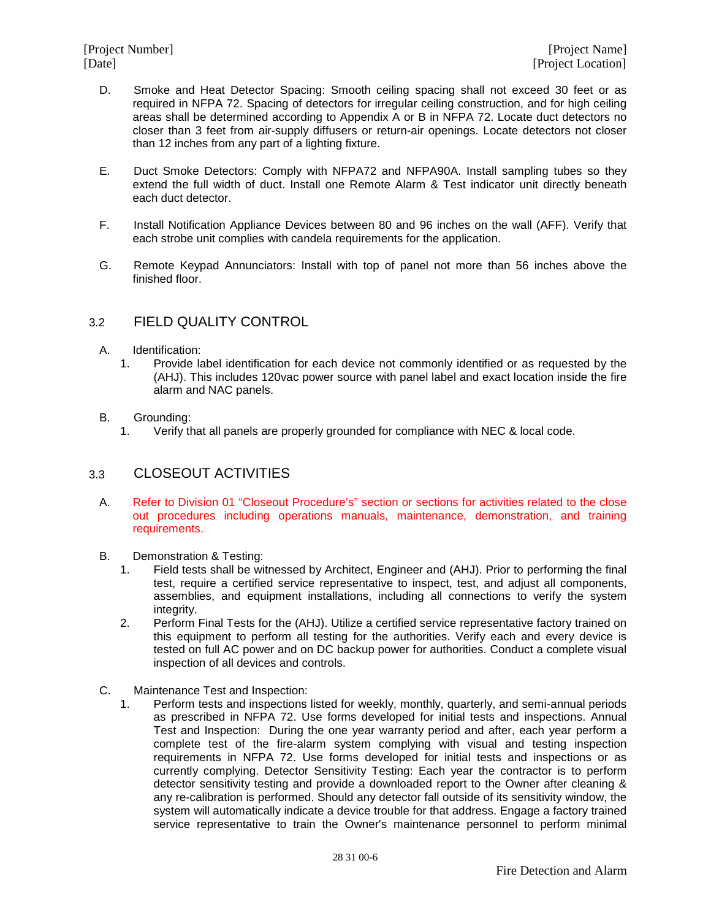- D. Smoke and Heat Detector Spacing: Smooth ceiling spacing shall not exceed 30 feet or as required in NFPA 72. Spacing of detectors for irregular ceiling construction, and for high ceiling areas shall be determined according to Appendix A or B in NFPA 72. Locate duct detectors no closer than 3 feet from air-supply diffusers or return-air openings. Locate detectors not closer than 12 inches from any part of a lighting fixture.
- E. Duct Smoke Detectors: Comply with NFPA72 and NFPA90A. Install sampling tubes so they extend the full width of duct. Install one Remote Alarm & Test indicator unit directly beneath each duct detector.
- F. Install Notification Appliance Devices between 80 and 96 inches on the wall (AFF). Verify that each strobe unit complies with candela requirements for the application.
- G. Remote Keypad Annunciators: Install with top of panel not more than 56 inches above the finished floor.

## 3.2 FIELD QUALITY CONTROL

- A. Identification:
	- 1. Provide label identification for each device not commonly identified or as requested by the (AHJ). This includes 120vac power source with panel label and exact location inside the fire alarm and NAC panels.
- B. Grounding:
	- 1. Verify that all panels are properly grounded for compliance with NEC & local code.

## 3.3 CLOSEOUT ACTIVITIES

- A. Refer to Division 01 "Closeout Procedure's" section or sections for activities related to the close out procedures including operations manuals, maintenance, demonstration, and training requirements.
- B. Demonstration & Testing:<br>1. Field tests shall be wi
	- 1. Field tests shall be witnessed by Architect, Engineer and (AHJ). Prior to performing the final test, require a certified service representative to inspect, test, and adjust all components, assemblies, and equipment installations, including all connections to verify the system integrity.
	- 2. Perform Final Tests for the (AHJ). Utilize a certified service representative factory trained on this equipment to perform all testing for the authorities. Verify each and every device is tested on full AC power and on DC backup power for authorities. Conduct a complete visual inspection of all devices and controls.
- C. Maintenance Test and Inspection:
	- 1. Perform tests and inspections listed for weekly, monthly, quarterly, and semi-annual periods as prescribed in NFPA 72. Use forms developed for initial tests and inspections. Annual Test and Inspection: During the one year warranty period and after, each year perform a complete test of the fire-alarm system complying with visual and testing inspection requirements in NFPA 72. Use forms developed for initial tests and inspections or as currently complying. Detector Sensitivity Testing: Each year the contractor is to perform detector sensitivity testing and provide a downloaded report to the Owner after cleaning & any re-calibration is performed. Should any detector fall outside of its sensitivity window, the system will automatically indicate a device trouble for that address. Engage a factory trained service representative to train the Owner's maintenance personnel to perform minimal